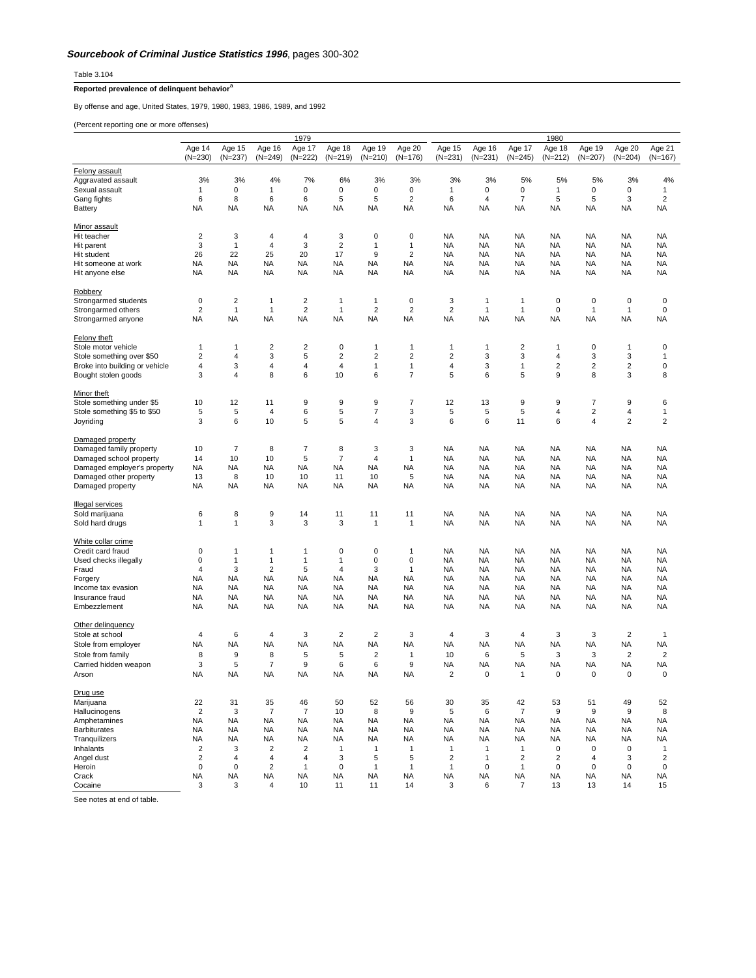Table 3.104

## **Reported prevalence of delinquent behavior**<sup>a</sup>

By offense and age, United States, 1979, 1980, 1983, 1986, 1989, and 1992

(Percent reporting one or more offenses)

|                                | 1979<br>1980            |                           |                         |                               |                         |                                      |                               |                         |             |                         |                         |                             |                         |                         |
|--------------------------------|-------------------------|---------------------------|-------------------------|-------------------------------|-------------------------|--------------------------------------|-------------------------------|-------------------------|-------------|-------------------------|-------------------------|-----------------------------|-------------------------|-------------------------|
|                                | Age 14                  | Age 15                    | Age 16                  | Age 17                        | Age 18                  | Age 19                               | Age 20                        | Age 15                  | Age 16      | Age 17                  | Age 18                  | Age 19                      | Age 20                  | Age 21                  |
|                                | $(N=230)$               | $(N=237)$                 | $(N=249)$               | $(N=222)$                     | $(N=219)$               | $(N=210)$                            | $(N=176)$                     | $(N=231)$               | $(N=231)$   | $(N=245)$               | $(N=212)$               | $(N=207)$                   | $(N=204)$               | (N=167)                 |
| Felony assault                 |                         |                           |                         |                               |                         |                                      |                               |                         |             |                         |                         |                             |                         |                         |
| Aggravated assault             | 3%                      | 3%                        | 4%                      | 7%                            | 6%                      | 3%                                   | 3%                            | 3%                      | 3%          | 5%                      | 5%                      | 5%                          | 3%                      | 4%                      |
| Sexual assault                 | $\mathbf{1}$            | 0                         | 1                       | 0                             | 0                       | 0                                    | 0                             | $\mathbf{1}$            | 0           | 0                       | 1                       | 0                           | 0                       | $\mathbf{1}$            |
| Gang fights                    | 6                       | 8                         | 6                       | 6                             | 5                       | 5                                    | $\overline{\mathbf{c}}$       | 6                       | 4           | 7                       | 5                       | $\sqrt{5}$                  | 3                       | $\overline{\mathbf{c}}$ |
| Battery                        | NA                      | <b>NA</b>                 | NA                      | NA                            | NA                      | <b>NA</b>                            | NA                            | NA                      | NA          | <b>NA</b>               | ΝA                      | <b>NA</b>                   | NA                      | <b>NA</b>               |
| <b>Minor assault</b>           |                         |                           |                         |                               |                         |                                      |                               |                         |             |                         |                         |                             |                         |                         |
| Hit teacher                    | $\overline{\mathbf{c}}$ | 3                         | 4                       | $\overline{4}$                | 3                       | 0                                    | 0                             | <b>NA</b>               | <b>NA</b>   | NA                      | NA                      | <b>NA</b>                   | NA                      | NA                      |
| Hit parent                     | 3                       | $\mathbf{1}$              | 4                       | 3                             | $\overline{2}$          | 1                                    | $\mathbf{1}$                  | <b>NA</b>               | <b>NA</b>   | <b>NA</b>               | NA                      | <b>NA</b>                   | NA                      | <b>NA</b>               |
| Hit student                    | 26                      | 22                        | 25                      | 20                            | 17                      | 9                                    | $\overline{2}$                | <b>NA</b>               | NA          | <b>NA</b>               | NA                      | <b>NA</b>                   | NA                      | <b>NA</b>               |
| Hit someone at work            | NA                      | <b>NA</b>                 | NA                      | NA                            | NA                      | <b>NA</b>                            | NA                            | <b>NA</b>               | NA          | <b>NA</b>               | NA                      | <b>NA</b>                   | NA                      | NA                      |
| Hit anyone else                | NA                      | NA                        | <b>NA</b>               | NA                            | NA                      | <b>NA</b>                            | NA                            | <b>NA</b>               | <b>NA</b>   | NA                      | ΝA                      | <b>NA</b>                   | NA                      | <b>NA</b>               |
|                                |                         |                           |                         |                               |                         |                                      |                               |                         |             |                         |                         |                             |                         |                         |
| Robbery                        |                         |                           |                         |                               |                         |                                      |                               |                         |             |                         |                         |                             |                         |                         |
| Strongarmed students           | 0                       | 2                         | $\mathbf{1}$            | $\overline{c}$                | 1                       | $\mathbf{1}$                         | 0                             | 3                       | 1           | $\mathbf{1}$            | 0                       | 0                           | 0                       | 0                       |
| Strongarmed others             | 2<br>ΝA                 | $\mathbf{1}$<br><b>NA</b> | 1<br>NA                 | $\boldsymbol{2}$<br><b>NA</b> | $\mathbf{1}$<br>NA      | $\overline{\mathbf{c}}$<br><b>NA</b> | $\overline{\mathbf{c}}$<br>ΝA | $\sqrt{2}$<br><b>NA</b> | 1<br>NA     | 1<br><b>NA</b>          | 0<br>NA                 | $\overline{1}$<br><b>NA</b> | 1<br>NA                 | $\pmb{0}$<br>NA         |
| Strongarmed anyone             |                         |                           |                         |                               |                         |                                      |                               |                         |             |                         |                         |                             |                         |                         |
| <b>Felony theft</b>            |                         |                           |                         |                               |                         |                                      |                               |                         |             |                         |                         |                             |                         |                         |
| Stole motor vehicle            | 1                       | $\mathbf{1}$              | $\overline{\mathbf{c}}$ | $\overline{\mathbf{c}}$       | 0                       | 1                                    | 1                             | $\mathbf{1}$            | 1           | $\overline{\mathbf{c}}$ | 1                       | 0                           | 1                       | 0                       |
| Stole something over \$50      | 2                       | 4                         | 3                       | 5                             | $\overline{\mathbf{c}}$ | 2                                    | 2                             | $\overline{c}$          | 3           | 3                       | 4                       | 3                           | 3                       | 1                       |
| Broke into building or vehicle | 4                       | 3                         | 4                       | 4                             | $\overline{4}$          | 1                                    | 1                             | $\overline{4}$          | 3           | 1                       | $\overline{\mathbf{c}}$ | $\overline{\mathbf{c}}$     | $\overline{\mathbf{c}}$ | $\pmb{0}$               |
| Bought stolen goods            | 3                       | 4                         | 8                       | 6                             | 10                      | 6                                    | 7                             | 5                       | 6           | 5                       | 9                       | 8                           | 3                       | 8                       |
|                                |                         |                           |                         |                               |                         |                                      |                               |                         |             |                         |                         |                             |                         |                         |
| Minor theft                    |                         |                           |                         |                               |                         |                                      |                               |                         |             |                         |                         |                             |                         |                         |
| Stole something under \$5      | 10                      | 12                        | 11                      | 9                             | 9                       | 9                                    | 7                             | 12                      | 13          | $\boldsymbol{9}$        | 9                       | 7                           | 9                       | 6                       |
| Stole something \$5 to \$50    | 5                       | 5                         | 4                       | 6                             | 5                       | 7                                    | 3                             | 5                       | 5           | 5                       | 4                       | $\overline{2}$              | 4                       | $\mathbf{1}$            |
| Joyriding                      | 3                       | 6                         | 10                      | 5                             | 5                       | 4                                    | 3                             | 6                       | 6           | 11                      | 6                       | 4                           | $\overline{\mathbf{c}}$ | $\overline{2}$          |
| Damaged property               |                         |                           |                         |                               |                         |                                      |                               |                         |             |                         |                         |                             |                         |                         |
| Damaged family property        | 10                      | 7                         | 8                       | 7                             | 8                       | 3                                    | 3                             | <b>NA</b>               | NA          | <b>NA</b>               | NA                      | <b>NA</b>                   | NA                      | NA                      |
| Damaged school property        | 14                      | 10                        | 10                      | 5                             | 7                       | $\overline{4}$                       | $\mathbf{1}$                  | <b>NA</b>               | NA          | <b>NA</b>               | <b>NA</b>               | <b>NA</b>                   | NA                      | NA                      |
| Damaged employer's property    | NA                      | <b>NA</b>                 | NA                      | NA                            | <b>NA</b>               | <b>NA</b>                            | NA                            | <b>NA</b>               | NA          | NA                      | NA                      | <b>NA</b>                   | NA                      | <b>NA</b>               |
| Damaged other property         | 13                      | 8                         | 10                      | 10                            | 11                      | 10                                   | 5                             | <b>NA</b>               | <b>NA</b>   | NA                      | NA                      | <b>NA</b>                   | NA                      | <b>NA</b>               |
| Damaged property               | NA                      | <b>NA</b>                 | <b>NA</b>               | NA                            | <b>NA</b>               | <b>NA</b>                            | NA                            | <b>NA</b>               | <b>NA</b>   | <b>NA</b>               | NA                      | <b>NA</b>                   | NA                      | <b>NA</b>               |
|                                |                         |                           |                         |                               |                         |                                      |                               |                         |             |                         |                         |                             |                         |                         |
| <b>Illegal services</b>        |                         |                           |                         |                               |                         |                                      |                               |                         |             |                         |                         |                             |                         |                         |
| Sold marijuana                 | 6                       | 8                         | 9                       | 14                            | 11                      | 11                                   | 11                            | NA                      | NA          | NA                      | ΝA                      | <b>NA</b>                   | NA                      | <b>NA</b>               |
| Sold hard drugs                | 1                       | $\mathbf{1}$              | 3                       | 3                             | 3                       | 1                                    | $\mathbf{1}$                  | NA                      | NA          | <b>NA</b>               | NA                      | <b>NA</b>                   | NA                      | <b>NA</b>               |
| White collar crime             |                         |                           |                         |                               |                         |                                      |                               |                         |             |                         |                         |                             |                         |                         |
| Credit card fraud              | $\mathbf 0$             | $\mathbf{1}$              | 1                       | 1                             | 0                       | 0                                    | $\mathbf{1}$                  | <b>NA</b>               | NA          | NA                      | ΝA                      | <b>NA</b>                   | NA                      | <b>NA</b>               |
| Used checks illegally          | 0                       | $\mathbf{1}$              | $\mathbf{1}$            | $\mathbf{1}$                  | 1                       | 0                                    | 0                             | <b>NA</b>               | <b>NA</b>   | <b>NA</b>               | NA                      | <b>NA</b>                   | NA                      | <b>NA</b>               |
| Fraud                          | $\overline{4}$          | 3                         | $\overline{\mathbf{c}}$ | 5                             | 4                       | 3                                    | $\mathbf{1}$                  | <b>NA</b>               | <b>NA</b>   | <b>NA</b>               | NA                      | <b>NA</b>                   | NA                      | <b>NA</b>               |
| Forgery                        | NA                      | NA                        | NA                      | NA                            | <b>NA</b>               | <b>NA</b>                            | NA                            | NA                      | <b>NA</b>   | <b>NA</b>               | NA                      | <b>NA</b>                   | <b>NA</b>               | <b>NA</b>               |
| Income tax evasion             | NA                      | <b>NA</b>                 | NA                      | NA                            | NA                      | <b>NA</b>                            | NA                            | <b>NA</b>               | <b>NA</b>   | NA                      | NA                      | <b>NA</b>                   | NA                      | <b>NA</b>               |
| Insurance fraud                | NA                      | <b>NA</b>                 | NA                      | NA                            | <b>NA</b>               | <b>NA</b>                            | NA                            | <b>NA</b>               | NA          | <b>NA</b>               | NA                      | <b>NA</b>                   | NA                      | NA                      |
| Embezzlement                   | NA                      | NA                        | <b>NA</b>               | NA                            | <b>NA</b>               | <b>NA</b>                            | NA                            | <b>NA</b>               | <b>NA</b>   | <b>NA</b>               | <b>NA</b>               | <b>NA</b>                   | <b>NA</b>               | <b>NA</b>               |
|                                |                         |                           |                         |                               |                         |                                      |                               |                         |             |                         |                         |                             |                         |                         |
| Other delinquency              |                         |                           |                         |                               |                         |                                      |                               |                         |             |                         |                         |                             |                         |                         |
| Stole at school                | 4                       | 6                         | 4                       | 3                             | $\overline{2}$          | $\overline{\mathbf{c}}$              | 3                             | 4                       | 3           | 4                       | 3                       | 3                           | $\overline{\mathbf{c}}$ | $\mathbf{1}$            |
| Stole from employer            | ΝA                      | <b>NA</b>                 | <b>NA</b>               | NA                            | <b>NA</b>               | <b>NA</b>                            | ΝA                            | <b>NA</b>               | NA          | NA                      | NA                      | NA                          | NA                      | NA                      |
| Stole from family              | 8                       | 9                         | 8                       | 5                             | 5                       | 2                                    | $\mathbf{1}$                  | 10                      | 6           | 5                       | 3                       | 3                           | $\overline{\mathbf{c}}$ | $\overline{\mathbf{c}}$ |
| Carried hidden weapon          | 3                       | 5                         | 7                       | 9                             | 6                       | 6                                    | 9                             | NA                      | NA          | NA                      | NA                      | <b>NA</b>                   | NA                      | <b>NA</b>               |
| Arson                          | NA                      | <b>NA</b>                 | <b>NA</b>               | NA                            | <b>NA</b>               | <b>NA</b>                            | NA                            | $\overline{2}$          | 0           | $\mathbf{1}$            | 0                       | $\mathbf 0$                 | $\mathbf 0$             | 0                       |
| Drug use                       |                         |                           |                         |                               |                         |                                      |                               |                         |             |                         |                         |                             |                         |                         |
| Marijuana                      | 22                      | 31                        | 35                      | 46                            | 50                      | 52                                   | 56                            | 30                      | 35          | 42                      | 53                      | 51                          | 49                      | 52                      |
| Hallucinogens                  | $\overline{2}$          | 3                         | $\overline{7}$          | $\overline{7}$                | 10                      | 8                                    | 9                             | 5                       | 6           | $\overline{7}$          | 9                       | $\boldsymbol{9}$            | 9                       | 8                       |
| Amphetamines                   | <b>NA</b>               | <b>NA</b>                 | <b>NA</b>               | <b>NA</b>                     | <b>NA</b>               | <b>NA</b>                            | <b>NA</b>                     | <b>NA</b>               | <b>NA</b>   | NA                      | <b>NA</b>               | <b>NA</b>                   | NA                      | <b>NA</b>               |
| <b>Barbiturates</b>            | <b>NA</b>               | <b>NA</b>                 | <b>NA</b>               | <b>NA</b>                     | <b>NA</b>               | <b>NA</b>                            | <b>NA</b>                     | <b>NA</b>               | <b>NA</b>   | <b>NA</b>               | <b>NA</b>               | <b>NA</b>                   | <b>NA</b>               | <b>NA</b>               |
| Tranquilizers                  | NA                      | <b>NA</b>                 | NA                      | NA                            | <b>NA</b>               | <b>NA</b>                            | NA                            | NA                      | NA          | <b>NA</b>               | NA                      | <b>NA</b>                   | NA                      | <b>NA</b>               |
| Inhalants                      | $\overline{2}$          | 3                         | $\overline{2}$          | $\overline{2}$                | 1                       | $\mathbf{1}$                         | $\overline{1}$                | $\mathbf{1}$            | 1           | $\mathbf{1}$            | 0                       | $\mathbf 0$                 | $\mathbf 0$             | $\mathbf{1}$            |
| Angel dust                     | $\overline{2}$          | 4                         | 4                       | 4                             | 3                       | 5                                    | 5                             | $\overline{2}$          | 1           | $\overline{2}$          | 2                       | 4                           | 3                       | $\overline{2}$          |
| Heroin                         | $\mathbf 0$             | $\mathbf 0$               | $\overline{2}$          | $\overline{1}$                | $\mathbf 0$             | 1                                    | $\mathbf{1}$                  | $\mathbf{1}$            | $\mathbf 0$ | $\mathbf{1}$            | $\mathbf 0$             | $\mathbf 0$                 | $\mathbf 0$             | $\mathbf 0$             |
| Crack                          | NA                      | <b>NA</b>                 | <b>NA</b>               | NA                            | NA                      | <b>NA</b>                            | NA                            | NA                      | NA          | <b>NA</b>               | ΝA                      | <b>NA</b>                   | NA                      | <b>NA</b>               |
| Cocaine                        | 3                       | 3                         | $\overline{4}$          | 10                            | 11                      | 11                                   | 14                            | 3                       | 6           | $\overline{7}$          | 13                      | 13                          | 14                      | 15                      |

See notes at end of table.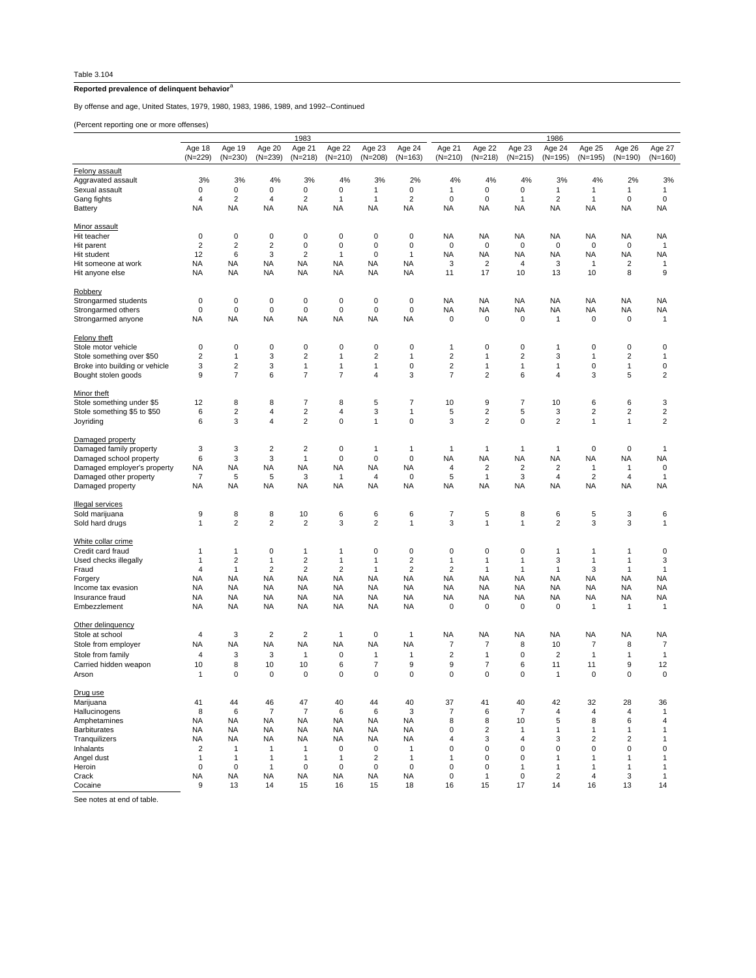## **Reported prevalence of delinquent behavior**<sup>a</sup>

By offense and age, United States, 1979, 1980, 1983, 1986, 1989, and 1992--Continued

(Percent reporting one or more offenses)

|                                      | 1983                    |                         |                         |                                |                     |                     |                     |                         | 1986                    |                     |                         |                         |                         |                         |  |  |
|--------------------------------------|-------------------------|-------------------------|-------------------------|--------------------------------|---------------------|---------------------|---------------------|-------------------------|-------------------------|---------------------|-------------------------|-------------------------|-------------------------|-------------------------|--|--|
|                                      | Age 18<br>$(N=229)$     | Age 19<br>$(N=230)$     | Age 20<br>$(N=239)$     | Age 21<br>$(N=218)$            | Age 22<br>$(N=210)$ | Age 23<br>$(N=208)$ | Age 24<br>$(N=163)$ | Age 21<br>$(N=210)$     | Age 22<br>$(N=218)$     | Age 23<br>$(N=215)$ | Age 24<br>$(N=195)$     | Age 25<br>$(N=195)$     | Age 26<br>$(N=190)$     | Age 27<br>$(N=160)$     |  |  |
|                                      |                         |                         |                         |                                |                     |                     |                     |                         |                         |                     |                         |                         |                         |                         |  |  |
| Felony assault                       |                         |                         | 4%                      | 3%                             | 4%                  |                     | 2%                  | 4%                      | 4%                      | 4%                  | 3%                      | 4%                      |                         |                         |  |  |
| Aggravated assault<br>Sexual assault | 3%<br>0                 | 3%<br>$\pmb{0}$         | 0                       | $\pmb{0}$                      | 0                   | 3%<br>1             | $\pmb{0}$           | 1                       | 0                       | 0                   | $\mathbf{1}$            | 1                       | 2%<br>1                 | 3%<br>$\mathbf{1}$      |  |  |
| Gang fights                          | $\overline{4}$          | $\overline{c}$          | 4                       | $\sqrt{2}$                     | 1                   | 1                   | $\overline{2}$      | $\mathbf 0$             | 0                       | 1                   | $\overline{\mathbf{c}}$ | $\mathbf{1}$            | $\mathbf 0$             | 0                       |  |  |
| Battery                              | NA                      | <b>NA</b>               | <b>NA</b>               | <b>NA</b>                      | <b>NA</b>           | NA                  | NA                  | <b>NA</b>               | NA                      | <b>NA</b>           | <b>NA</b>               | <b>NA</b>               | <b>NA</b>               | NA                      |  |  |
|                                      |                         |                         |                         |                                |                     |                     |                     |                         |                         |                     |                         |                         |                         |                         |  |  |
| Minor assault                        |                         |                         |                         |                                |                     |                     |                     |                         |                         |                     |                         |                         |                         |                         |  |  |
| Hit teacher                          | $\mathbf 0$             | $\mathbf 0$             | $\pmb{0}$               | $\mathbf 0$                    | 0                   | $\mathbf 0$         | $\mathbf 0$         | <b>NA</b>               | NA                      | <b>NA</b>           | <b>NA</b>               | <b>NA</b>               | <b>NA</b>               | <b>NA</b>               |  |  |
| Hit parent                           | $\overline{\mathbf{c}}$ | $\overline{\mathbf{c}}$ | 2                       | $\mathbf 0$                    | 0                   | 0                   | 0                   | $\mathbf 0$             | 0                       | 0                   | 0                       | 0                       | 0                       | $\mathbf{1}$            |  |  |
| Hit student                          | 12                      | 6                       | 3                       | $\overline{2}$                 | 1                   | 0                   | $\mathbf{1}$        | <b>NA</b>               | <b>NA</b>               | <b>NA</b>           | <b>NA</b>               | <b>NA</b>               | <b>NA</b>               | <b>NA</b>               |  |  |
| Hit someone at work                  | NA                      | <b>NA</b>               | <b>NA</b>               | NA                             | NA                  | NA                  | NA                  | 3                       | $\overline{c}$          | 4                   | 3                       | $\mathbf{1}$            | 2                       | 1                       |  |  |
| Hit anyone else                      | <b>NA</b>               | <b>NA</b>               | <b>NA</b>               | <b>NA</b>                      | <b>NA</b>           | <b>NA</b>           | <b>NA</b>           | 11                      | 17                      | 10                  | 13                      | 10                      | 8                       | 9                       |  |  |
| Robbery                              |                         |                         |                         |                                |                     |                     |                     |                         |                         |                     |                         |                         |                         |                         |  |  |
| Strongarmed students                 | 0                       | 0                       | $\pmb{0}$               | $\pmb{0}$                      | 0                   | 0                   | 0                   | <b>NA</b>               | <b>NA</b>               | <b>NA</b>           | <b>NA</b>               | <b>NA</b>               | <b>NA</b>               | <b>NA</b>               |  |  |
| Strongarmed others                   | 0                       | $\mathbf 0$             | $\mathsf 0$             | $\mathbf 0$                    | $\mathbf 0$         | $\mathbf 0$         | $\mathbf 0$         | <b>NA</b>               | <b>NA</b>               | <b>NA</b>           | <b>NA</b>               | <b>NA</b>               | <b>NA</b>               | <b>NA</b>               |  |  |
| Strongarmed anyone                   | NA                      | <b>NA</b>               | <b>NA</b>               | <b>NA</b>                      | NA                  | NA                  | <b>NA</b>           | $\mathbf 0$             | 0                       | 0                   | $\mathbf{1}$            | 0                       | 0                       | 1                       |  |  |
| Felony theft                         |                         |                         |                         |                                |                     |                     |                     |                         |                         |                     |                         |                         |                         |                         |  |  |
| Stole motor vehicle                  | $\mathbf 0$             | $\mathbf 0$             | 0                       | $\mathbf 0$                    | $\mathbf 0$         | 0                   | $\mathbf 0$         | $\mathbf{1}$            | 0                       | 0                   | $\overline{1}$          | 0                       | 0                       | 0                       |  |  |
| Stole something over \$50            | 2                       | 1                       | 3                       | $\overline{c}$                 | 1                   | 2                   | $\mathbf{1}$        | $\overline{c}$          | 1                       | 2                   | 3                       | 1                       | 2                       | 1                       |  |  |
| Broke into building or vehicle       | 3                       | $\overline{\mathbf{c}}$ | 3                       | $\mathbf{1}$                   | 1                   | 1                   | $\mathbf 0$         | $\overline{\mathbf{c}}$ | $\mathbf{1}$            | 1                   | 1                       | $\mathbf 0$             | $\mathbf{1}$            | $\mathbf 0$             |  |  |
| Bought stolen goods                  | 9                       | 7                       | 6                       | $\overline{7}$                 | 7                   | 4                   | 3                   | 7                       | 2                       | 6                   | 4                       | 3                       | 5                       | 2                       |  |  |
|                                      |                         |                         |                         |                                |                     |                     |                     |                         |                         |                     |                         |                         |                         |                         |  |  |
| Minor theft                          |                         |                         |                         |                                |                     |                     |                     |                         |                         |                     |                         |                         |                         |                         |  |  |
| Stole something under \$5            | 12                      | 8                       | 8                       | 7                              | 8                   | 5                   | 7                   | 10                      | 9                       | $\overline{7}$      | 10                      | 6                       | 6                       | 3                       |  |  |
| Stole something \$5 to \$50          | 6                       | $\overline{\mathbf{c}}$ | 4                       | $\overline{c}$                 | 4                   | 3                   | $\mathbf{1}$        | 5                       | 2                       | 5                   | 3                       | $\overline{\mathbf{c}}$ | 2                       | $\overline{\mathbf{c}}$ |  |  |
| Joyriding                            | 6                       | 3                       | 4                       | $\overline{2}$                 | 0                   | 1                   | $\mathbf 0$         | 3                       | $\overline{\mathbf{c}}$ | 0                   | $\overline{2}$          | $\mathbf{1}$            | $\mathbf{1}$            | 2                       |  |  |
| Damaged property                     |                         |                         |                         |                                |                     |                     |                     |                         |                         |                     |                         |                         |                         |                         |  |  |
| Damaged family property              | 3                       | 3                       | $\overline{\mathbf{c}}$ | $\overline{c}$                 | 0                   | 1                   | $\mathbf{1}$        | $\mathbf{1}$            | $\mathbf{1}$            | 1                   | $\mathbf{1}$            | 0                       | $\pmb{0}$               | 1                       |  |  |
| Damaged school property              | 6                       | 3                       | 3                       | $\mathbf{1}$                   | 0                   | $\mathbf 0$         | $\mathbf 0$         | <b>NA</b>               | <b>NA</b>               | <b>NA</b>           | <b>NA</b>               | <b>NA</b>               | <b>NA</b>               | <b>NA</b>               |  |  |
| Damaged employer's property          | NA                      | NA                      | NA                      | <b>NA</b>                      | NA                  | NA                  | NA                  | 4                       | 2                       | $\overline{c}$      | $\overline{2}$          | 1                       | $\mathbf{1}$            | 0                       |  |  |
| Damaged other property               | $\overline{7}$          | 5                       | 5                       | 3                              | 1                   | 4                   | $\mathbf 0$         | 5                       | $\mathbf{1}$            | 3                   | $\overline{4}$          | $\overline{2}$          | $\overline{4}$          | $\mathbf{1}$            |  |  |
| Damaged property                     | NA                      | NA                      | NA                      | <b>NA</b>                      | NA                  | NA                  | NA                  | <b>NA</b>               | NA                      | NA                  | <b>NA</b>               | <b>NA</b>               | <b>NA</b>               | NA                      |  |  |
| <b>Illegal services</b>              |                         |                         |                         |                                |                     |                     |                     |                         |                         |                     |                         |                         |                         |                         |  |  |
| Sold marijuana                       | 9                       | 8                       | 8                       | 10                             | 6                   | 6                   | 6                   | 7                       | 5                       | 8                   | 6                       | 5                       | 3                       | 6                       |  |  |
| Sold hard drugs                      | 1                       | $\overline{\mathbf{c}}$ | 2                       | $\overline{c}$                 | 3                   | 2                   | 1                   | 3                       | 1                       | 1                   | $\overline{\mathbf{c}}$ | 3                       | 3                       | 1                       |  |  |
|                                      |                         |                         |                         |                                |                     |                     |                     |                         |                         |                     |                         |                         |                         |                         |  |  |
| White collar crime                   |                         |                         | 0                       |                                |                     | 0                   | $\pmb{0}$           | $\mathbf 0$             | 0                       | 0                   | $\overline{1}$          |                         | $\mathbf{1}$            | 0                       |  |  |
| Credit card fraud                    | -1<br>$\mathbf{1}$      | 1<br>2                  | 1                       | $\mathbf{1}$<br>$\overline{c}$ | 1<br>1              | 1                   | $\overline{2}$      | $\mathbf{1}$            | $\mathbf{1}$            | 1                   | 3                       | 1<br>1                  | 1                       | 3                       |  |  |
| Used checks illegally                | $\overline{4}$          | $\mathbf{1}$            | $\overline{2}$          | $\overline{2}$                 | $\overline{2}$      | 1                   | $\overline{2}$      | $\overline{2}$          | $\mathbf{1}$            |                     | $\overline{1}$          | 3                       | $\overline{1}$          | 1                       |  |  |
| Fraud<br>Forgery                     | NA                      | <b>NA</b>               | NA                      | <b>NA</b>                      | NA                  | NA                  | NA                  | <b>NA</b>               | <b>NA</b>               | 1<br><b>NA</b>      | <b>NA</b>               | <b>NA</b>               | <b>NA</b>               | NA                      |  |  |
| Income tax evasion                   | <b>NA</b>               | <b>NA</b>               | <b>NA</b>               | <b>NA</b>                      | <b>NA</b>           | <b>NA</b>           | <b>NA</b>           | <b>NA</b>               | <b>NA</b>               | <b>NA</b>           | <b>NA</b>               | <b>NA</b>               | <b>NA</b>               | <b>NA</b>               |  |  |
| Insurance fraud                      | NA                      | <b>NA</b>               | <b>NA</b>               | <b>NA</b>                      | <b>NA</b>           | NA                  | NA                  | <b>NA</b>               | <b>NA</b>               | <b>NA</b>           | <b>NA</b>               | NA                      | <b>NA</b>               | NA                      |  |  |
| Embezzlement                         | NA                      | <b>NA</b>               | <b>NA</b>               | <b>NA</b>                      | <b>NA</b>           | <b>NA</b>           | <b>NA</b>           | $\mathbf 0$             | $\mathbf 0$             | $\mathbf 0$         | $\mathbf 0$             | $\mathbf{1}$            | $\mathbf{1}$            | $\mathbf{1}$            |  |  |
|                                      |                         |                         |                         |                                |                     |                     |                     |                         |                         |                     |                         |                         |                         |                         |  |  |
| Other delinquency                    |                         |                         |                         |                                |                     |                     |                     |                         |                         |                     |                         |                         |                         |                         |  |  |
| Stole at school                      | 4                       | 3                       | $\sqrt{2}$              | $\overline{2}$                 | $\mathbf{1}$        | 0                   | $\mathbf{1}$        | NA                      | NA                      | NA                  | NA                      | NA                      | NA                      | NA                      |  |  |
| Stole from employer                  | NA                      | <b>NA</b>               | NA                      | <b>NA</b>                      | NA                  | NA                  | NA                  | 7                       | 7                       | 8                   | 10                      | 7                       | 8                       | 7                       |  |  |
| Stole from family                    | 4                       | 3                       | 3                       | $\mathbf{1}$                   | 0                   | 1                   | $\mathbf{1}$        | $\overline{2}$          | 1                       | 0                   | $\overline{2}$          | 1                       | 1                       | $\mathbf{1}$            |  |  |
| Carried hidden weapon                | 10                      | 8                       | 10                      | 10                             | 6                   | 7                   | 9                   | 9                       | $\overline{7}$          | 6                   | 11                      | 11                      | 9                       | 12                      |  |  |
| Arson                                | $\mathbf{1}$            | 0                       | 0                       | 0                              | $\mathbf 0$         | 0                   | 0                   | 0                       | 0                       | 0                   | $\mathbf{1}$            | $\mathbf 0$             | 0                       | $\mathbf 0$             |  |  |
| Drug use                             |                         |                         |                         |                                |                     |                     |                     |                         |                         |                     |                         |                         |                         |                         |  |  |
| Marijuana                            | 41                      | 44                      | 46                      | 47                             | 40                  | 44                  | 40                  | 37                      | 41                      | 40                  | 42                      | 32                      | 28                      | 36                      |  |  |
| Hallucinogens                        | 8                       | 6                       | $\overline{7}$          | $\overline{7}$                 | 6                   | 6                   | 3                   | $\overline{7}$          | 6                       | 7                   | 4                       | 4                       | 4                       | 1                       |  |  |
| Amphetamines                         | NA                      | <b>NA</b>               | NA                      | <b>NA</b>                      | NA                  | NA                  | NA                  | 8                       | 8                       | 10                  | 5                       | 8                       | 6                       | $\overline{4}$          |  |  |
| <b>Barbiturates</b>                  | <b>NA</b>               | <b>NA</b>               | NA                      | NA                             | NA                  | NA                  | <b>NA</b>           | $\mathbf 0$             | 2                       | $\mathbf{1}$        | $\mathbf{1}$            | 1                       | $\mathbf{1}$            | $\mathbf{1}$            |  |  |
| Tranquilizers                        | NA                      | <b>NA</b>               | NA                      | <b>NA</b>                      | NA                  | NA                  | NA                  | $\overline{4}$          | 3                       | 4                   | 3                       | $\overline{\mathbf{c}}$ | $\overline{\mathbf{c}}$ | 1                       |  |  |
| Inhalants                            | $\overline{2}$          | 1                       | $\mathbf{1}$            | $\mathbf{1}$                   | 0                   | 0                   | $\mathbf{1}$        | $\mathbf 0$             | 0                       | 0                   | 0                       | $\mathbf 0$             | 0                       | 0                       |  |  |
| Angel dust                           | $\mathbf{1}$            | $\mathbf{1}$            | $\mathbf{1}$            | $\mathbf{1}$                   | $\mathbf{1}$        | 2                   | $\mathbf{1}$        | 1                       | 0                       | 0                   | $\mathbf{1}$            | 1                       | 1                       | 1                       |  |  |
| Heroin                               | $\mathbf 0$             | 0                       | $\mathbf{1}$            | $\mathbf 0$                    | 0                   | 0                   | 0                   | $\mathbf 0$             | 0                       | 1                   | $\mathbf{1}$            | $\mathbf{1}$            | 1                       | $\mathbf{1}$            |  |  |
| Crack                                | NA                      | <b>NA</b>               | NA                      | <b>NA</b>                      | NA                  | NA                  | NA                  | $\mathbf 0$             | $\mathbf{1}$            | 0                   | $\overline{c}$          | 4                       | 3                       | $\mathbf{1}$            |  |  |
| Cocaine                              | 9                       | 13                      | 14                      | 15                             | 16                  | 15                  | 18                  | 16                      | 15                      | 17                  | 14                      | 16                      | 13                      | 14                      |  |  |

See notes at end of table.